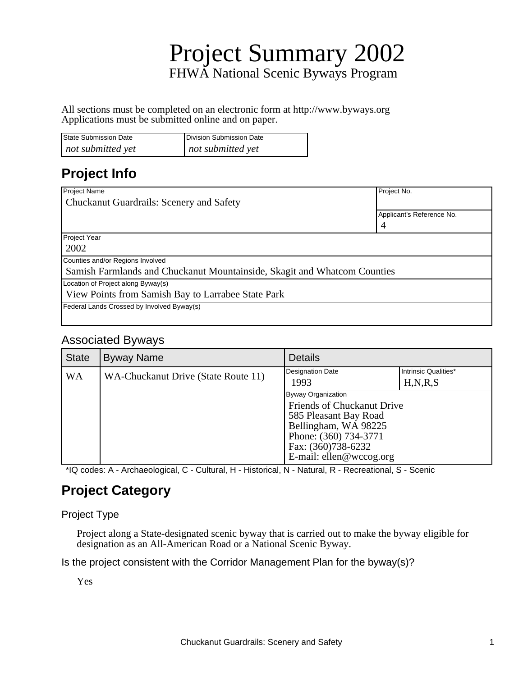# Project Summary 2002 FHWA National Scenic Byways Program

All sections must be completed on an electronic form at http://www.byways.org Applications must be submitted online and on paper.

| State Submission Date | Division Submission Date |
|-----------------------|--------------------------|
| not submitted yet     | not submitted yet        |

### **Project Info**

| Project Name                                                             | Project No.               |
|--------------------------------------------------------------------------|---------------------------|
| <b>Chuckanut Guardrails: Scenery and Safety</b>                          |                           |
|                                                                          | Applicant's Reference No. |
|                                                                          | 4                         |
| Project Year                                                             |                           |
| 2002                                                                     |                           |
| Counties and/or Regions Involved                                         |                           |
| Samish Farmlands and Chuckanut Mountainside, Skagit and Whatcom Counties |                           |
| Location of Project along Byway(s)                                       |                           |
| View Points from Samish Bay to Larrabee State Park                       |                           |
| Federal Lands Crossed by Involved Byway(s)                               |                           |
|                                                                          |                           |

#### Associated Byways

| <b>State</b> | <b>Byway Name</b>                   | <b>Details</b>                                                                                                                                                              |                                    |
|--------------|-------------------------------------|-----------------------------------------------------------------------------------------------------------------------------------------------------------------------------|------------------------------------|
| WA           | WA-Chuckanut Drive (State Route 11) | Designation Date<br>1993                                                                                                                                                    | Intrinsic Qualities*<br>H, N, R, S |
|              |                                     | Byway Organization<br>Friends of Chuckanut Drive<br>585 Pleasant Bay Road<br>Bellingham, WA 98225<br>Phone: (360) 734-3771<br>Fax: (360)738-6232<br>E-mail: ellen@wccog.org |                                    |

\*IQ codes: A - Archaeological, C - Cultural, H - Historical, N - Natural, R - Recreational, S - Scenic

### **Project Category**

#### Project Type

Project along a State-designated scenic byway that is carried out to make the byway eligible for designation as an All-American Road or a National Scenic Byway.

Is the project consistent with the Corridor Management Plan for the byway(s)?

Yes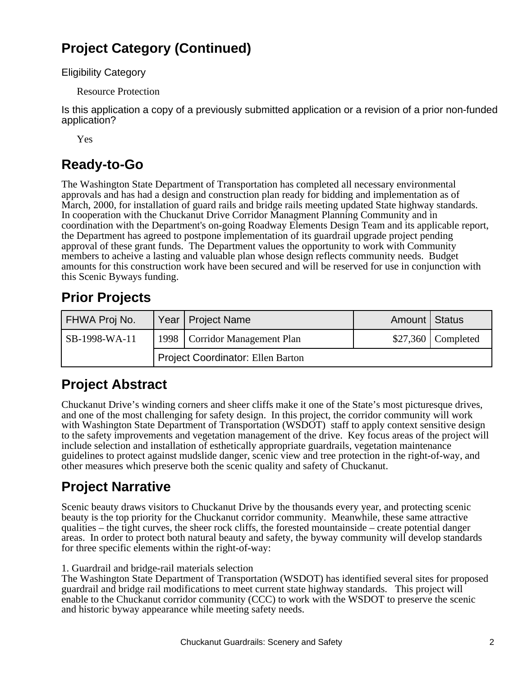### **Project Category (Continued)**

Eligibility Category

Resource Protection

Is this application a copy of a previously submitted application or a revision of a prior non-funded application?

Yes

### **Ready-to-Go**

The Washington State Department of Transportation has completed all necessary environmental approvals and has had a design and construction plan ready for bidding and implementation as of March, 2000, for installation of guard rails and bridge rails meeting updated State highway standards. In cooperation with the Chuckanut Drive Corridor Managment Planning Community and in coordination with the Department's on-going Roadway Elements Design Team and its applicable report, the Department has agreed to postpone implementation of its guardrail upgrade project pending approval of these grant funds. The Department values the opportunity to work with Community members to acheive a lasting and valuable plan whose design reflects community needs. Budget amounts for this construction work have been secured and will be reserved for use in conjunction with this Scenic Byways funding.

## **Prior Projects**

| FHWA Proj No. |                                          | Year   Project Name             | Amount   Status |                     |
|---------------|------------------------------------------|---------------------------------|-----------------|---------------------|
| SB-1998-WA-11 |                                          | 1998   Corridor Management Plan |                 | $$27,360$ Completed |
|               | <b>Project Coordinator: Ellen Barton</b> |                                 |                 |                     |

## **Project Abstract**

Chuckanut Drive's winding corners and sheer cliffs make it one of the State's most picturesque drives, and one of the most challenging for safety design. In this project, the corridor community will work with Washington State Department of Transportation (WSDOT) staff to apply context sensitive design to the safety improvements and vegetation management of the drive. Key focus areas of the project will include selection and installation of esthetically appropriate guardrails, vegetation maintenance guidelines to protect against mudslide danger, scenic view and tree protection in the right-of-way, and other measures which preserve both the scenic quality and safety of Chuckanut.

## **Project Narrative**

Scenic beauty draws visitors to Chuckanut Drive by the thousands every year, and protecting scenic beauty is the top priority for the Chuckanut corridor community. Meanwhile, these same attractive qualities – the tight curves, the sheer rock cliffs, the forested mountainside – create potential danger areas. In order to protect both natural beauty and safety, the byway community will develop standards for three specific elements within the right-of-way:

1. Guardrail and bridge-rail materials selection

The Washington State Department of Transportation (WSDOT) has identified several sites for proposed guardrail and bridge rail modifications to meet current state highway standards. This project will enable to the Chuckanut corridor community (CCC) to work with the WSDOT to preserve the scenic and historic byway appearance while meeting safety needs.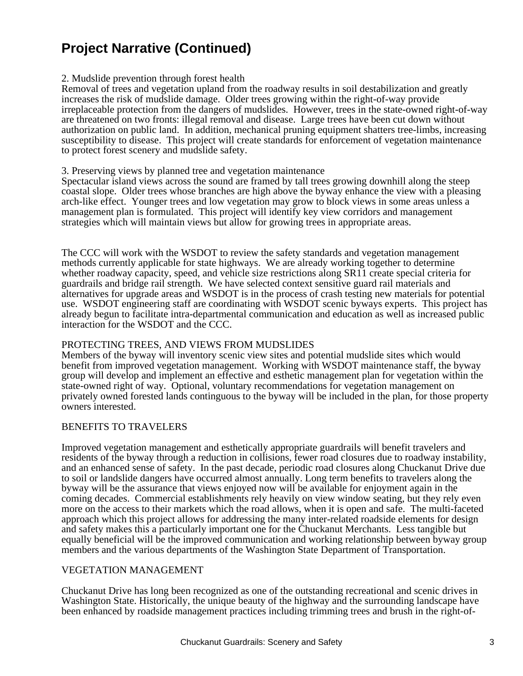### **Project Narrative (Continued)**

#### 2. Mudslide prevention through forest health

Removal of trees and vegetation upland from the roadway results in soil destabilization and greatly increases the risk of mudslide damage. Older trees growing within the right-of-way provide irreplaceable protection from the dangers of mudslides. However, trees in the state-owned right-of-way are threatened on two fronts: illegal removal and disease. Large trees have been cut down without authorization on public land. In addition, mechanical pruning equipment shatters tree-limbs, increasing susceptibility to disease. This project will create standards for enforcement of vegetation maintenance to protect forest scenery and mudslide safety.

#### 3. Preserving views by planned tree and vegetation maintenance

Spectacular island views across the sound are framed by tall trees growing downhill along the steep coastal slope. Older trees whose branches are high above the byway enhance the view with a pleasing arch-like effect. Younger trees and low vegetation may grow to block views in some areas unless a management plan is formulated. This project will identify key view corridors and management strategies which will maintain views but allow for growing trees in appropriate areas.

The CCC will work with the WSDOT to review the safety standards and vegetation management methods currently applicable for state highways. We are already working together to determine whether roadway capacity, speed, and vehicle size restrictions along SR11 create special criteria for guardrails and bridge rail strength. We have selected context sensitive guard rail materials and alternatives for upgrade areas and WSDOT is in the process of crash testing new materials for potential use. WSDOT engineering staff are coordinating with WSDOT scenic byways experts. This project has already begun to facilitate intra-departmental communication and education as well as increased public interaction for the WSDOT and the CCC.

#### PROTECTING TREES, AND VIEWS FROM MUDSLIDES

Members of the byway will inventory scenic view sites and potential mudslide sites which would benefit from improved vegetation management. Working with WSDOT maintenance staff, the byway group will develop and implement an effective and esthetic management plan for vegetation within the state-owned right of way. Optional, voluntary recommendations for vegetation management on privately owned forested lands continguous to the byway will be included in the plan, for those property owners interested.

#### BENEFITS TO TRAVELERS

Improved vegetation management and esthetically appropriate guardrails will benefit travelers and residents of the byway through a reduction in collisions, fewer road closures due to roadway instability, and an enhanced sense of safety. In the past decade, periodic road closures along Chuckanut Drive due to soil or landslide dangers have occurred almost annually. Long term benefits to travelers along the byway will be the assurance that views enjoyed now will be available for enjoyment again in the coming decades. Commercial establishments rely heavily on view window seating, but they rely even more on the access to their markets which the road allows, when it is open and safe. The multi-faceted approach which this project allows for addressing the many inter-related roadside elements for design and safety makes this a particularly important one for the Chuckanut Merchants. Less tangible but equally beneficial will be the improved communication and working relationship between byway group members and the various departments of the Washington State Department of Transportation.

#### VEGETATION MANAGEMENT

Chuckanut Drive has long been recognized as one of the outstanding recreational and scenic drives in Washington State. Historically, the unique beauty of the highway and the surrounding landscape have been enhanced by roadside management practices including trimming trees and brush in the right-of-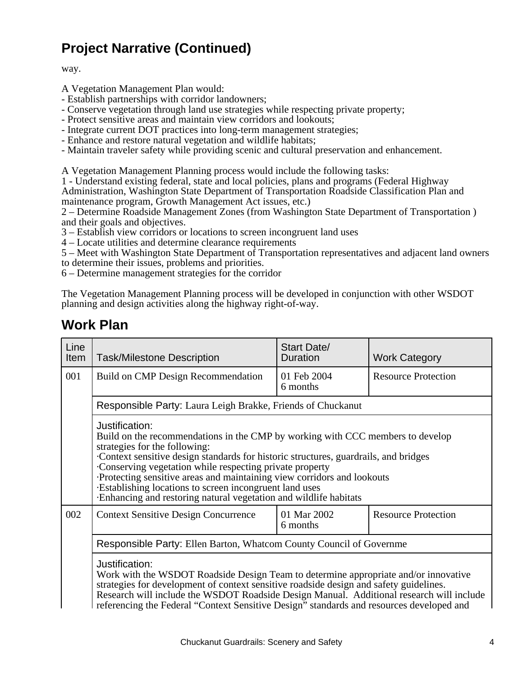## **Project Narrative (Continued)**

way.

A Vegetation Management Plan would:

- Establish partnerships with corridor landowners;
- Conserve vegetation through land use strategies while respecting private property;
- Protect sensitive areas and maintain view corridors and lookouts;
- Integrate current DOT practices into long-term management strategies;
- Enhance and restore natural vegetation and wildlife habitats;
- Maintain traveler safety while providing scenic and cultural preservation and enhancement.

A Vegetation Management Planning process would include the following tasks:

1 - Understand existing federal, state and local policies, plans and programs (Federal Highway Administration, Washington State Department of Transportation Roadside Classification Plan and maintenance program, Growth Management Act issues, etc.)

2 – Determine Roadside Management Zones (from Washington State Department of Transportation ) and their goals and objectives.

3 – Establish view corridors or locations to screen incongruent land uses

- 4 Locate utilities and determine clearance requirements
- 5 Meet with Washington State Department of Transportation representatives and adjacent land owners to determine their issues, problems and priorities.

6 – Determine management strategies for the corridor

The Vegetation Management Planning process will be developed in conjunction with other WSDOT planning and design activities along the highway right-of-way.

### **Work Plan**

| Line<br>Item | <b>Task/Milestone Description</b>                                                                                                                                                                                                                                                                                                                                                                                                                                                               | <b>Start Date/</b><br><b>Duration</b> | <b>Work Category</b>       |
|--------------|-------------------------------------------------------------------------------------------------------------------------------------------------------------------------------------------------------------------------------------------------------------------------------------------------------------------------------------------------------------------------------------------------------------------------------------------------------------------------------------------------|---------------------------------------|----------------------------|
| 001          | Build on CMP Design Recommendation                                                                                                                                                                                                                                                                                                                                                                                                                                                              | 01 Feb 2004<br>6 months               | <b>Resource Protection</b> |
|              | Responsible Party: Laura Leigh Brakke, Friends of Chuckanut                                                                                                                                                                                                                                                                                                                                                                                                                                     |                                       |                            |
|              | Justification:<br>Build on the recommendations in the CMP by working with CCC members to develop<br>strategies for the following:<br>Context sensitive design standards for historic structures, guardrails, and bridges<br>Conserving vegetation while respecting private property<br>· Protecting sensitive areas and maintaining view corridors and lookouts<br>Establishing locations to screen incongruent land uses<br>· Enhancing and restoring natural vegetation and wildlife habitats |                                       |                            |
| 002          | <b>Context Sensitive Design Concurrence</b>                                                                                                                                                                                                                                                                                                                                                                                                                                                     | 01 Mar 2002<br>6 months               | <b>Resource Protection</b> |
|              | Responsible Party: Ellen Barton, Whatcom County Council of Governme                                                                                                                                                                                                                                                                                                                                                                                                                             |                                       |                            |
|              | Justification:<br>Work with the WSDOT Roadside Design Team to determine appropriate and/or innovative<br>strategies for development of context sensitive roadside design and safety guidelines.<br>Research will include the WSDOT Roadside Design Manual. Additional research will include<br>referencing the Federal "Context Sensitive Design" standards and resources developed and                                                                                                         |                                       |                            |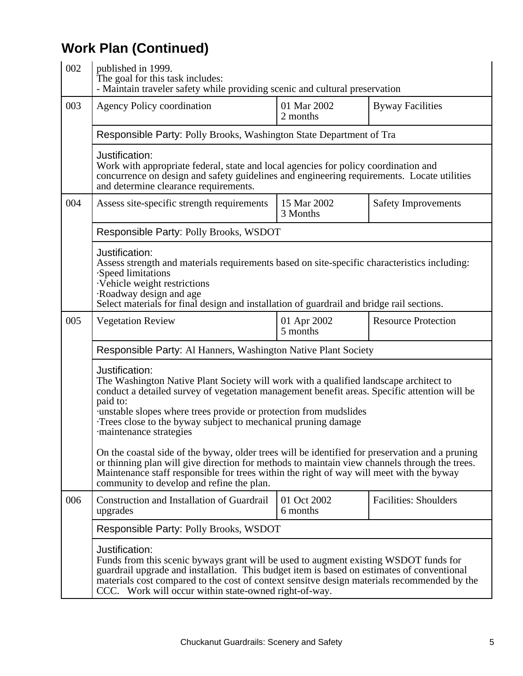## **Work Plan (Continued)**

| 002 | published in 1999.<br>The goal for this task includes:<br>- Maintain traveler safety while providing scenic and cultural preservation                                                                                                                                                                                                                                                  |                         |                              |
|-----|----------------------------------------------------------------------------------------------------------------------------------------------------------------------------------------------------------------------------------------------------------------------------------------------------------------------------------------------------------------------------------------|-------------------------|------------------------------|
| 003 | <b>Agency Policy coordination</b>                                                                                                                                                                                                                                                                                                                                                      | 01 Mar 2002<br>2 months | <b>Byway Facilities</b>      |
|     | Responsible Party: Polly Brooks, Washington State Department of Tra                                                                                                                                                                                                                                                                                                                    |                         |                              |
|     | Justification:<br>Work with appropriate federal, state and local agencies for policy coordination and<br>concurrence on design and safety guidelines and engineering requirements. Locate utilities<br>and determine clearance requirements.                                                                                                                                           |                         |                              |
| 004 | Assess site-specific strength requirements                                                                                                                                                                                                                                                                                                                                             | 15 Mar 2002<br>3 Months | <b>Safety Improvements</b>   |
|     | Responsible Party: Polly Brooks, WSDOT                                                                                                                                                                                                                                                                                                                                                 |                         |                              |
|     | Justification:<br>Assess strength and materials requirements based on site-specific characteristics including:<br>· Speed limitations<br>· Vehicle weight restrictions<br>· Roadway design and age<br>Select materials for final design and installation of guardrail and bridge rail sections.                                                                                        |                         |                              |
| 005 | <b>Vegetation Review</b>                                                                                                                                                                                                                                                                                                                                                               | 01 Apr 2002<br>5 months | <b>Resource Protection</b>   |
|     | Responsible Party: Al Hanners, Washington Native Plant Society                                                                                                                                                                                                                                                                                                                         |                         |                              |
|     | Justification:<br>The Washington Native Plant Society will work with a qualified landscape architect to<br>conduct a detailed survey of vegetation management benefit areas. Specific attention will be<br>paid to:<br>· unstable slopes where trees provide or protection from mudslides<br>Trees close to the byway subject to mechanical pruning damage<br>· maintenance strategies |                         |                              |
|     | On the coastal side of the byway, older trees will be identified for preservation and a pruning<br>or thinning plan will give direction for methods to maintain view channels through the trees.<br>Maintenance staff responsible for trees within the right of way will meet with the byway<br>community to develop and refine the plan.                                              |                         |                              |
| 006 | <b>Construction and Installation of Guardrail</b><br>upgrades                                                                                                                                                                                                                                                                                                                          | 01 Oct 2002<br>6 months | <b>Facilities: Shoulders</b> |
|     | Responsible Party: Polly Brooks, WSDOT                                                                                                                                                                                                                                                                                                                                                 |                         |                              |
|     | Justification:<br>Funds from this scenic byways grant will be used to augment existing WSDOT funds for<br>guardrail upgrade and installation. This budget item is based on estimates of conventional<br>materials cost compared to the cost of context sensitve design materials recommended by the<br>CCC. Work will occur within state-owned right-of-way.                           |                         |                              |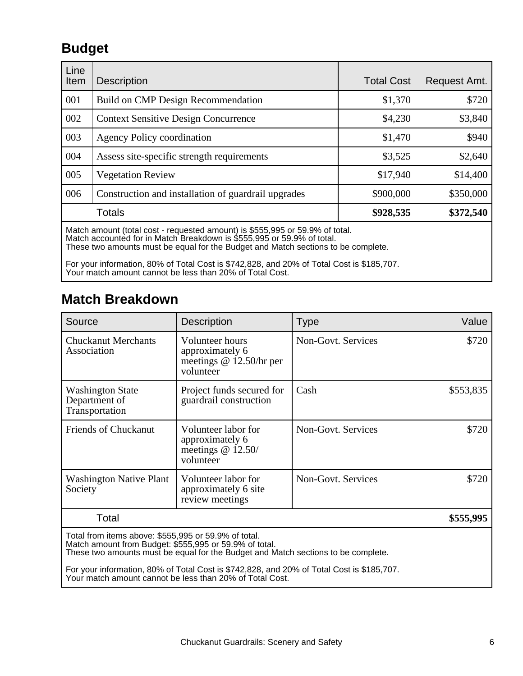### **Budget**

| Line<br>Item | <b>Description</b>                                                                                                                                     | <b>Total Cost</b> | Request Amt. |
|--------------|--------------------------------------------------------------------------------------------------------------------------------------------------------|-------------------|--------------|
| 001          | Build on CMP Design Recommendation                                                                                                                     | \$1,370           | \$720        |
| 002          | <b>Context Sensitive Design Concurrence</b>                                                                                                            | \$4,230           | \$3,840      |
| 003          | <b>Agency Policy coordination</b>                                                                                                                      | \$1,470           | \$940        |
| 004          | Assess site-specific strength requirements                                                                                                             | \$3,525           | \$2,640      |
| 005          | <b>Vegetation Review</b>                                                                                                                               | \$17,940          | \$14,400     |
| 006          | Construction and installation of guardrail upgrades                                                                                                    | \$900,000         | \$350,000    |
|              | Totals                                                                                                                                                 | \$928,535         | \$372,540    |
|              | Match amount (total cost - requested amount) is \$555,995 or 59.9% of total.<br>Match accounted for in Match Breakdown is \$555,995 or 59.9% of total. |                   |              |

These two amounts must be equal for the Budget and Match sections to be complete.

For your information, 80% of Total Cost is \$742,828, and 20% of Total Cost is \$185,707. Your match amount cannot be less than 20% of Total Cost.

### **Match Breakdown**

| Source                                                                                                         | <b>Description</b>                                                                | <b>Type</b>        | Value     |
|----------------------------------------------------------------------------------------------------------------|-----------------------------------------------------------------------------------|--------------------|-----------|
| <b>Chuckanut Merchants</b><br>Association                                                                      | Volunteer hours<br>approximately 6<br>meetings $@$ 12.50/hr per<br>volunteer      | Non-Govt. Services | \$720     |
| <b>Washington State</b><br>Department of<br>Transportation                                                     | Project funds secured for<br>guardrail construction                               | Cash               | \$553,835 |
| <b>Friends of Chuckanut</b>                                                                                    | Volunteer labor for<br>approximately 6<br>meetings $@12.50/$<br>volunteer         | Non-Govt. Services | \$720     |
| <b>Washington Native Plant</b><br>Society                                                                      | Volunteer labor for<br>approximately 6 site<br>review meetings                    | Non-Govt. Services | \$720     |
| Total                                                                                                          |                                                                                   |                    | \$555,995 |
| Total from items above: \$555,995 or 59.9% of total.<br>Match amount from Budget: \$555,995 or 59.9% of total. | These two amounts must be equal for the Budget and Match sections to be complete. |                    |           |

For your information, 80% of Total Cost is \$742,828, and 20% of Total Cost is \$185,707. Your match amount cannot be less than 20% of Total Cost.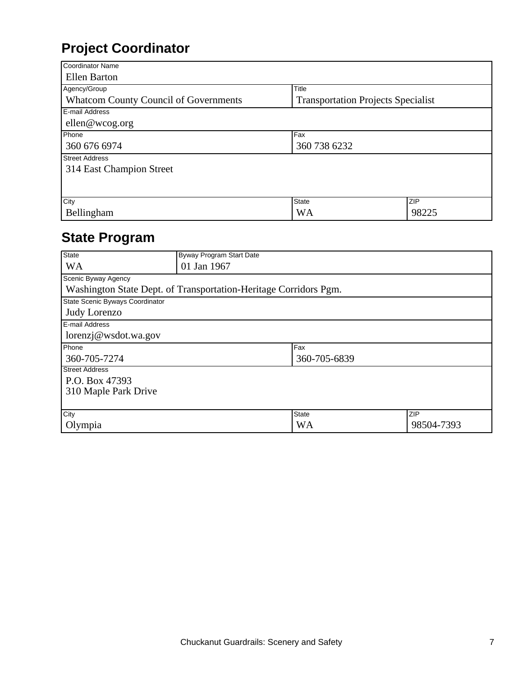## **Project Coordinator**

| <b>Coordinator Name</b>                      |                                           |       |
|----------------------------------------------|-------------------------------------------|-------|
| <b>Ellen Barton</b>                          |                                           |       |
| Agency/Group                                 | Title                                     |       |
| <b>Whatcom County Council of Governments</b> | <b>Transportation Projects Specialist</b> |       |
| E-mail Address                               |                                           |       |
| ellen@wcog.org                               |                                           |       |
| Phone                                        | Fax                                       |       |
| 360 738 6232<br>360 676 6974                 |                                           |       |
| <b>Street Address</b>                        |                                           |       |
| 314 East Champion Street                     |                                           |       |
|                                              |                                           |       |
|                                              |                                           |       |
| City                                         | <b>State</b>                              | ZIP   |
| Bellingham                                   | WA                                        | 98225 |

## **State Program**

| <b>State</b>                    | Byway Program Start Date                                         |              |            |
|---------------------------------|------------------------------------------------------------------|--------------|------------|
| <b>WA</b>                       | 01 Jan 1967                                                      |              |            |
| Scenic Byway Agency             |                                                                  |              |            |
|                                 | Washington State Dept. of Transportation-Heritage Corridors Pgm. |              |            |
| State Scenic Byways Coordinator |                                                                  |              |            |
| Judy Lorenzo                    |                                                                  |              |            |
| E-mail Address                  |                                                                  |              |            |
| lorenzj@wsdot.wa.gov            |                                                                  |              |            |
| Phone                           |                                                                  | Fax          |            |
| 360-705-7274                    | 360-705-6839                                                     |              |            |
| <b>Street Address</b>           |                                                                  |              |            |
| P.O. Box 47393                  |                                                                  |              |            |
| 310 Maple Park Drive            |                                                                  |              |            |
|                                 |                                                                  |              |            |
| City                            |                                                                  | <b>State</b> | ZIP        |
| Olympia                         |                                                                  | <b>WA</b>    | 98504-7393 |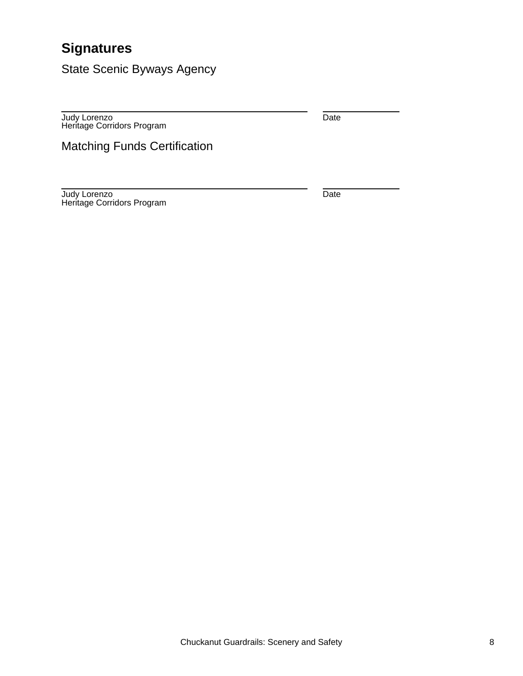## **Signatures**

State Scenic Byways Agency

Judy Lorenzo Heritage Corridors Program Date

Matching Funds Certification

Judy Lorenzo Heritage Corridors Program Date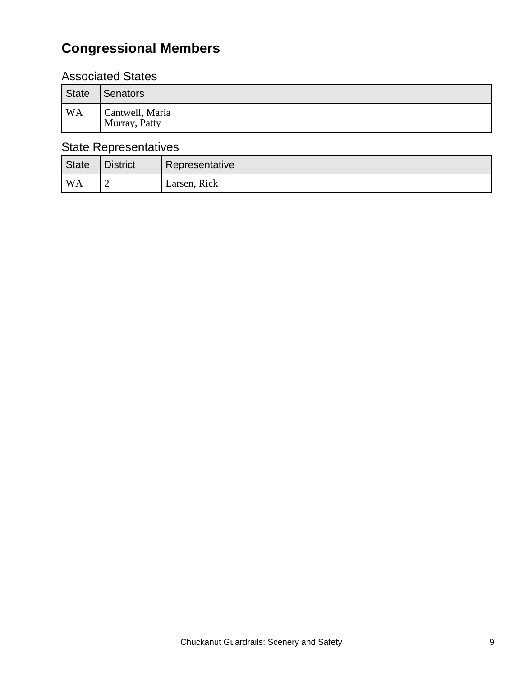# **Congressional Members**

### Associated States

| State          | Senators                         |
|----------------|----------------------------------|
| WA <sup></sup> | Cantwell, Maria<br>Murray, Patty |

### State Representatives

| State              | <b>District</b> | Representative |
|--------------------|-----------------|----------------|
| $^{\mathsf{I}}$ WA |                 | Larsen, Rick   |